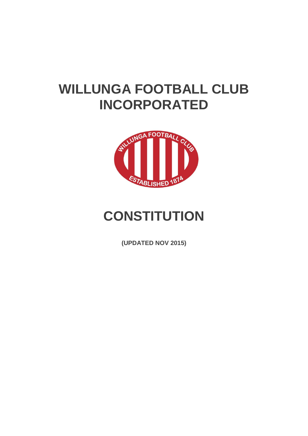# **WILLUNGA FOOTBALL CLUB INCORPORATED**



# **CONSTITUTION**

**(UPDATED NOV 2015)**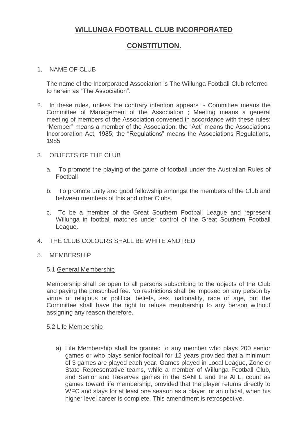# **WILLUNGA FOOTBALL CLUB INCORPORATED**

## **CONSTITUTION.**

#### 1. NAME OF CLUB

The name of the Incorporated Association is The Willunga Football Club referred to herein as "The Association".

- 2. In these rules, unless the contrary intention appears :- Committee means the Committee of Management of the Association ; Meeting means a general meeting of members of the Association convened in accordance with these rules; "Member" means a member of the Association; the "Act" means the Associations Incorporation Act, 1985; the "Regulations" means the Associations Regulations, 1985
- 3. OBJECTS OF THE CLUB
	- a. To promote the playing of the game of football under the Australian Rules of Football
	- b. To promote unity and good fellowship amongst the members of the Club and between members of this and other Clubs.
	- c. To be a member of the Great Southern Football League and represent Willunga in football matches under control of the Great Southern Football League.
- 4. THE CLUB COLOURS SHALL BE WHITE AND RED
- 5. MEMBERSHIP

#### 5.1 General Membership

Membership shall be open to all persons subscribing to the objects of the Club and paying the prescribed fee. No restrictions shall be imposed on any person by virtue of religious or political beliefs, sex, nationality, race or age, but the Committee shall have the right to refuse membership to any person without assigning any reason therefore.

#### 5.2 Life Membership

a) Life Membership shall be granted to any member who plays 200 senior games or who plays senior football for 12 years provided that a minimum of 3 games are played each year. Games played in Local League, Zone or State Representative teams, while a member of Willunga Football Club, and Senior and Reserves games in the SANFL and the AFL, count as games toward life membership, provided that the player returns directly to WFC and stays for at least one season as a player, or an official, when his higher level career is complete. This amendment is retrospective.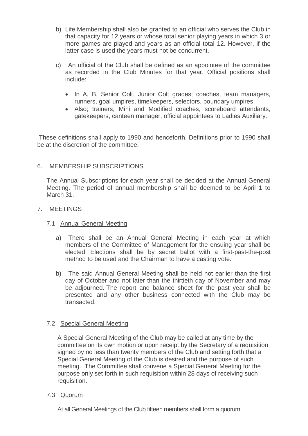- b) Life Membership shall also be granted to an official who serves the Club in that capacity for 12 years or whose total senior playing years in which 3 or more games are played and years as an official total 12. However, if the latter case is used the years must not be concurrent.
- c) An official of the Club shall be defined as an appointee of the committee as recorded in the Club Minutes for that year. Official positions shall include:
	- In A, B, Senior Colt, Junior Colt grades; coaches, team managers, runners, goal umpires, timekeepers, selectors, boundary umpires.
	- Also; trainers, Mini and Modified coaches, scoreboard attendants, gatekeepers, canteen manager, official appointees to Ladies Auxiliary.

These definitions shall apply to 1990 and henceforth. Definitions prior to 1990 shall be at the discretion of the committee.

#### 6. MEMBERSHIP SUBSCRIPTIONS

The Annual Subscriptions for each year shall be decided at the Annual General Meeting. The period of annual membership shall be deemed to be April 1 to March 31.

#### 7. MEETINGS

#### 7.1 Annual General Meeting

- a) There shall be an Annual General Meeting in each year at which members of the Committee of Management for the ensuing year shall be elected. Elections shall be by secret ballot with a first-past-the-post method to be used and the Chairman to have a casting vote.
- b) The said Annual General Meeting shall be held not earlier than the first day of October and not later than the thirtieth day of November and may be adjourned. The report and balance sheet for the past year shall be presented and any other business connected with the Club may be transacted.

## 7.2 Special General Meeting

A Special General Meeting of the Club may be called at any time by the committee on its own motion or upon receipt by the Secretary of a requisition signed by no less than twenty members of the Club and setting forth that a Special General Meeting of the Club is desired and the purpose of such meeting. The Committee shall convene a Special General Meeting for the purpose only set forth in such requisition within 28 days of receiving such requisition.

## 7.3 Quorum

At all General Meetings of the Club fifteen members shall form a quorum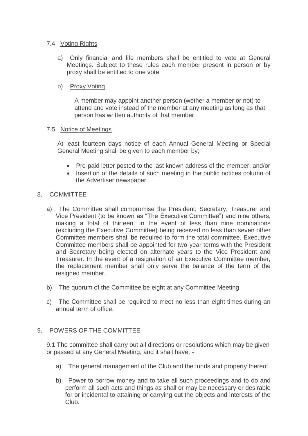#### 7.4 Voting Rights

- a) Only financial and life members shall be entitled to vote at General Meetings. Subject to these rules each member present in person or by proxy shall be entitled to one vote.
- b) Proxy Voting

A member may appoint another person (wether a member or not) to attend and vote instead of the member at any meeting as long as that person has written authority of that member.

#### 7.5 Notice of Meetings

At least fourteen days notice of each Annual General Meeting or Special General Meeting shall be given to each member by;

- Pre-paid letter posted to the last known address of the member; and/or
- Insertion of the details of such meeting in the public notices column of the Advertiser newspaper.

#### 8. COMMITTEE

- a) The Committee shall compromise the President, Secretary, Treasurer and Vice President (to be known as "The Executive Committee") and nine others, making a total of thirteen. In the event of less than nine nominations (excluding the Executive Committee) being received no less than seven other Committee members shall be required to form the total committee. Executive Committee members shall be appointed for two-year terms with the President and Secretary being elected on alternate years to the Vice President and Treasurer. In the event of a resignation of an Executive Committee member, the replacement member shall only serve the balance of the term of the resigned member.
- b) The quorum of the Committee be eight at any Committee Meeting
- c) The Committee shall be required to meet no less than eight times during an annual term of office.

## 9. POWERS OF THE COMMITTEE

9.1 The committee shall carry out all directions or resolutions which may be given or passed at any General Meeting, and it shall have; -

- a) The general management of the Club and the funds and property thereof.
- b) Power to borrow money and to take all such proceedings and to do and perform all such acts and things as shall or may be necessary or desirable for or incidental to attaining or carrying out the objects and interests of the Club.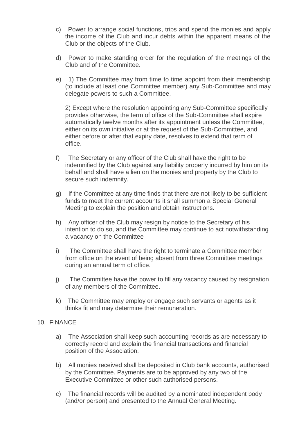- c) Power to arrange social functions, trips and spend the monies and apply the income of the Club and incur debts within the apparent means of the Club or the objects of the Club.
- d) Power to make standing order for the regulation of the meetings of the Club and of the Committee.
- e) 1) The Committee may from time to time appoint from their membership (to include at least one Committee member) any Sub-Committee and may delegate powers to such a Committee.

2) Except where the resolution appointing any Sub-Committee specifically provides otherwise, the term of office of the Sub-Committee shall expire automatically twelve months after its appointment unless the Committee, either on its own initiative or at the request of the Sub-Committee, and either before or after that expiry date, resolves to extend that term of office.

- f) The Secretary or any officer of the Club shall have the right to be indemnified by the Club against any liability properly incurred by him on its behalf and shall have a lien on the monies and property by the Club to secure such indemnity.
- g) If the Committee at any time finds that there are not likely to be sufficient funds to meet the current accounts it shall summon a Special General Meeting to explain the position and obtain instructions.
- h) Any officer of the Club may resign by notice to the Secretary of his intention to do so, and the Committee may continue to act notwithstanding a vacancy on the Committee
- i) The Committee shall have the right to terminate a Committee member from office on the event of being absent from three Committee meetings during an annual term of office.
- j) The Committee have the power to fill any vacancy caused by resignation of any members of the Committee.
- k) The Committee may employ or engage such servants or agents as it thinks fit and may determine their remuneration.

#### 10. FINANCE

- a) The Association shall keep such accounting records as are necessary to correctly record and explain the financial transactions and financial position of the Association.
- b) All monies received shall be deposited in Club bank accounts, authorised by the Committee. Payments are to be approved by any two of the Executive Committee or other such authorised persons.
- c) The financial records will be audited by a nominated independent body (and/or person) and presented to the Annual General Meeting.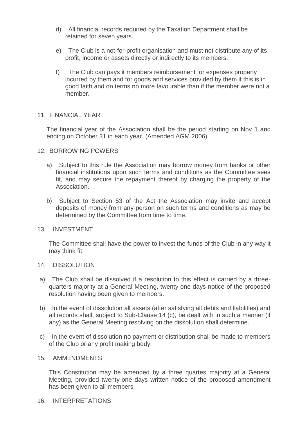- d) All financial records required by the Taxation Department shall be retained for seven years.
- e) The Club is a not-for-profit organisation and must not distribute any of its profit, income or assets directly or indirectly to its members.
- f) The Club can pays it members reimbursement for expenses properly incurred by them and for goods and services provided by them if this is in good faith and on terms no more favourable than if the member were not a member.

#### 11. FINANCIAL YEAR

The financial year of the Association shall be the period starting on Nov 1 and ending on October 31 in each year. (Amended AGM 2006)

#### 12. BORROWING POWERS

- a) Subject to this rule the Association may borrow money from banks or other financial institutions upon such terms and conditions as the Committee sees fit, and may secure the repayment thereof by charging the property of the Association.
- b) Subject to Section 53 of the Act the Association may invite and accept deposits of money from any person on such terms and conditions as may be determined by the Committee from time to time.

#### 13. INVESTMENT

The Committee shall have the power to invest the funds of the Club in any way it may think fit.

#### 14. DISSOLUTION

- a) The Club shall be dissolved if a resolution to this effect is carried by a threequarters majority at a General Meeting, twenty one days notice of the proposed resolution having been given to members.
- b) In the event of dissolution all assets (after satisfying all debts and liabilities) and all records shall, subject to Sub-Clause 14 (c), be dealt with in such a manner (if any) as the General Meeting resolving on the dissolution shall determine.
- c) In the event of dissolution no payment or distribution shall be made to members of the Club or any profit making body.

#### 15. AMMENDMENTS

This Constitution may be amended by a three quartes majority at a General Meeting, provided twenty-one days written notice of the proposed amendment has been given to all members.

#### 16. INTERPRETATIONS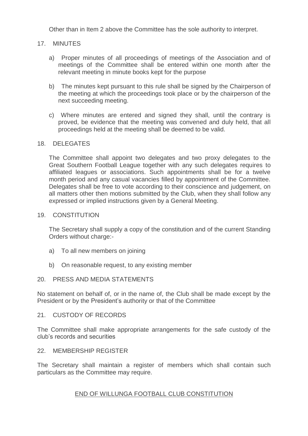Other than in Item 2 above the Committee has the sole authority to interpret.

### 17. MINUTES

- a) Proper minutes of all proceedings of meetings of the Association and of meetings of the Committee shall be entered within one month after the relevant meeting in minute books kept for the purpose
- b) The minutes kept pursuant to this rule shall be signed by the Chairperson of the meeting at which the proceedings took place or by the chairperson of the next succeeding meeting.
- c) Where minutes are entered and signed they shall, until the contrary is proved, be evidence that the meeting was convened and duly held, that all proceedings held at the meeting shall be deemed to be valid.

#### 18. DELEGATES

The Committee shall appoint two delegates and two proxy delegates to the Great Southern Football League together with any such delegates requires to affiliated leagues or associations. Such appointments shall be for a twelve month period and any casual vacancies filled by appointment of the Committee. Delegates shall be free to vote according to their conscience and judgement, on all matters other then motions submitted by the Club, when they shall follow any expressed or implied instructions given by a General Meeting.

#### 19. CONSTITUTION

The Secretary shall supply a copy of the constitution and of the current Standing Orders without charge:-

- a) To all new members on joining
- b) On reasonable request, to any existing member

#### 20. PRESS AND MEDIA STATEMENTS

No statement on behalf of, or in the name of, the Club shall be made except by the President or by the President's authority or that of the Committee

#### 21. CUSTODY OF RECORDS

The Committee shall make appropriate arrangements for the safe custody of the club's records and securities

#### 22. MEMBERSHIP REGISTER

The Secretary shall maintain a register of members which shall contain such particulars as the Committee may require.

#### END OF WILLUNGA FOOTBALL CLUB CONSTITUTION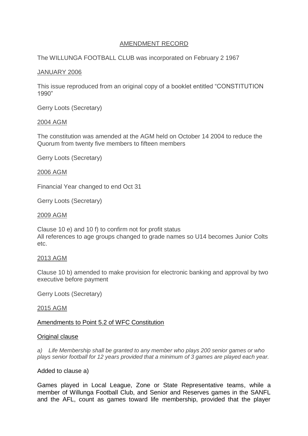#### AMENDMENT RECORD

## The WILLUNGA FOOTBALL CLUB was incorporated on February 2 1967

## JANUARY 2006

This issue reproduced from an original copy of a booklet entitled "CONSTITUTION 1990"

Gerry Loots (Secretary)

## 2004 AGM

The constitution was amended at the AGM held on October 14 2004 to reduce the Quorum from twenty five members to fifteen members

Gerry Loots (Secretary)

## 2006 AGM

Financial Year changed to end Oct 31

Gerry Loots (Secretary)

## 2009 AGM

Clause 10 e) and 10 f) to confirm not for profit status All references to age groups changed to grade names so U14 becomes Junior Colts etc.

## 2013 AGM

Clause 10 b) amended to make provision for electronic banking and approval by two executive before payment

Gerry Loots (Secretary)

## 2015 AGM

## Amendments to Point 5.2 of WFC Constitution

## **Original clause**

*a) Life Membership shall be granted to any member who plays 200 senior games or who plays senior football for 12 years provided that a minimum of 3 games are played each year.*

## Added to clause a)

Games played in Local League, Zone or State Representative teams, while a member of Willunga Football Club, and Senior and Reserves games in the SANFL and the AFL, count as games toward life membership, provided that the player